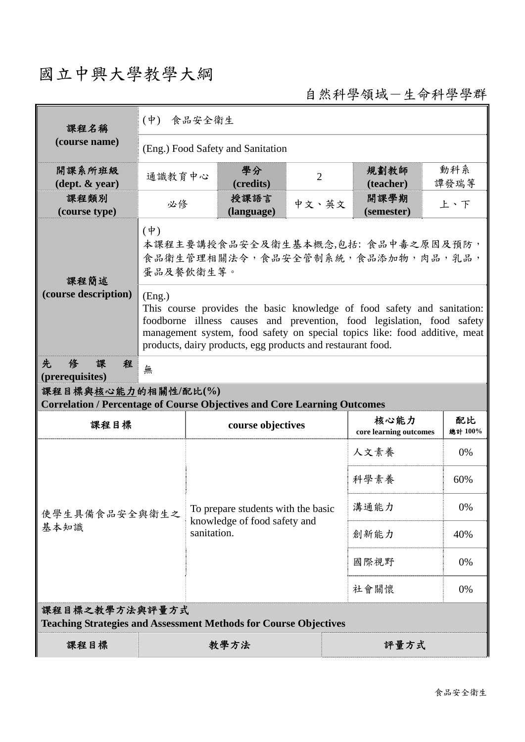## 國立中興大學教學大綱

自然科學領域-生命科學學群

| 課程名稱                                                                                      | (中) 食品安全衛生                                                                                                                                                                                                                                                                                               |             |                                    |                |                                |               |  |  |  |
|-------------------------------------------------------------------------------------------|----------------------------------------------------------------------------------------------------------------------------------------------------------------------------------------------------------------------------------------------------------------------------------------------------------|-------------|------------------------------------|----------------|--------------------------------|---------------|--|--|--|
| (course name)                                                                             | (Eng.) Food Safety and Sanitation                                                                                                                                                                                                                                                                        |             |                                    |                |                                |               |  |  |  |
| 開課系所班級<br>$(\text{dept.} \& \text{ year})$                                                | 通識教育中心                                                                                                                                                                                                                                                                                                   |             | 學分<br>(credits)                    | $\overline{2}$ | 規劃教師<br>(teacher)              | 動科系<br>譚發瑞等   |  |  |  |
| 課程類別<br>(course type)                                                                     | 必修                                                                                                                                                                                                                                                                                                       |             | 授課語言<br>(language)                 | 中文、英文          | 開課學期<br>(semester)             | 上、下           |  |  |  |
| 課程簡述                                                                                      | $(\dagger)$<br>本課程主要講授食品安全及衛生基本概念,包括: 食品中毒之原因及預防,<br>食品衛生管理相關法令,食品安全管制系統,食品添加物,肉品,乳品,<br>蛋品及餐飲衛生等。                                                                                                                                                                                                       |             |                                    |                |                                |               |  |  |  |
| (course description)                                                                      | (Eng.)<br>This course provides the basic knowledge of food safety and sanitation:<br>foodborne illness causes and prevention, food legislation, food safety<br>management system, food safety on special topics like: food additive, meat<br>products, dairy products, egg products and restaurant food. |             |                                    |                |                                |               |  |  |  |
| 俢<br>先<br>課<br>程<br>(prerequisites)                                                       | 無                                                                                                                                                                                                                                                                                                        |             |                                    |                |                                |               |  |  |  |
|                                                                                           |                                                                                                                                                                                                                                                                                                          |             |                                    |                |                                |               |  |  |  |
| 課程目標與核心能力的相關性/配比(%)                                                                       |                                                                                                                                                                                                                                                                                                          |             |                                    |                |                                |               |  |  |  |
| <b>Correlation / Percentage of Course Objectives and Core Learning Outcomes</b><br>課程目標   |                                                                                                                                                                                                                                                                                                          |             | course objectives                  |                | 核心能力<br>core learning outcomes | 配比<br>總計 100% |  |  |  |
|                                                                                           |                                                                                                                                                                                                                                                                                                          |             |                                    |                | 人文素養                           | 0%            |  |  |  |
|                                                                                           |                                                                                                                                                                                                                                                                                                          |             |                                    |                | 科學素養                           | 60%           |  |  |  |
| 使學生具備食品安全與衛生之                                                                             |                                                                                                                                                                                                                                                                                                          |             | To prepare students with the basic |                | 溝通能力                           | 0%            |  |  |  |
| 基本知識                                                                                      |                                                                                                                                                                                                                                                                                                          | sanitation. | knowledge of food safety and       |                | 創新能力                           | 40%           |  |  |  |
|                                                                                           |                                                                                                                                                                                                                                                                                                          |             |                                    |                | 國際視野                           | 0%            |  |  |  |
|                                                                                           |                                                                                                                                                                                                                                                                                                          |             |                                    |                | 社會關懷                           | 0%            |  |  |  |
| 課程目標之教學方法與評量方式<br><b>Teaching Strategies and Assessment Methods for Course Objectives</b> |                                                                                                                                                                                                                                                                                                          |             |                                    |                |                                |               |  |  |  |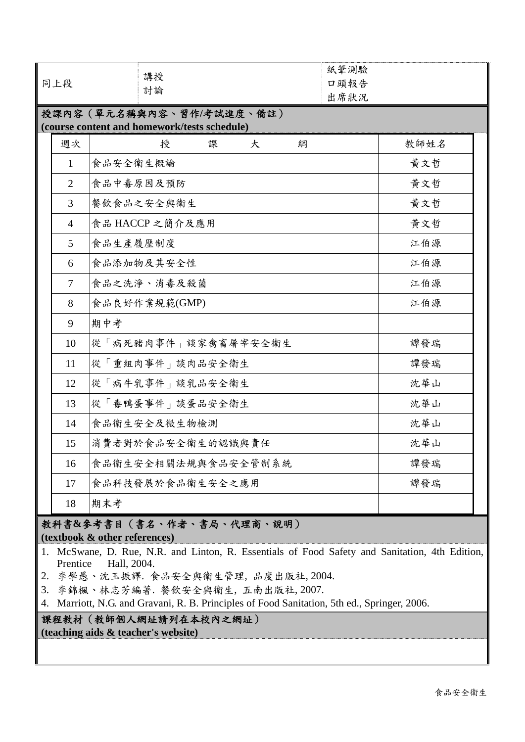| 同上段                                                                      |          | 講授<br>討論            |     |   |   | 紙筆測驗<br>口頭報告<br>出席狀況 |      |  |  |  |  |
|--------------------------------------------------------------------------|----------|---------------------|-----|---|---|----------------------|------|--|--|--|--|
| 授課內容(單元名稱與內容、習作/考試進度、備註)<br>(course content and homework/tests schedule) |          |                     |     |   |   |                      |      |  |  |  |  |
| 週次                                                                       |          | 授                   | 課   | 大 | 綗 |                      | 教師姓名 |  |  |  |  |
| $\mathbf{1}$                                                             | 食品安全衛生概論 |                     |     |   |   |                      | 黄文哲  |  |  |  |  |
| $\overline{2}$                                                           |          | 食品中毒原因及預防           |     |   |   |                      | 黄文哲  |  |  |  |  |
| $\overline{3}$                                                           |          | 餐飲食品之安全與衛生          | 黄文哲 |   |   |                      |      |  |  |  |  |
| $\overline{4}$                                                           |          | 食品 HACCP 之簡介及應用     | 黄文哲 |   |   |                      |      |  |  |  |  |
| 5                                                                        | 食品生產履歷制度 |                     |     |   |   |                      | 江伯源  |  |  |  |  |
| 6                                                                        |          | 食品添加物及其安全性          |     |   |   |                      | 江伯源  |  |  |  |  |
| $\tau$                                                                   |          | 食品之洗淨、消毒及殺菌         |     |   |   |                      | 江伯源  |  |  |  |  |
| 8                                                                        |          | 食品良好作業規範(GMP)       |     |   |   |                      | 江伯源  |  |  |  |  |
| 9                                                                        | 期中考      |                     |     |   |   |                      |      |  |  |  |  |
| 10                                                                       |          | 從「病死豬肉事件」談家禽畜屠宰安全衛生 |     |   |   |                      | 譚發瑞  |  |  |  |  |
| 11                                                                       |          | 從「重組肉事件」談肉品安全衛生     |     |   |   |                      | 譚發瑞  |  |  |  |  |
| 12                                                                       |          | 從「病牛乳事件」談乳品安全衛生     |     |   |   |                      | 沈華山  |  |  |  |  |
| 13                                                                       |          | 從「毒鴨蛋事件」談蛋品安全衛生     |     |   |   |                      | 沈華山  |  |  |  |  |
| 14                                                                       |          | 食品衛生安全及微生物檢測        |     |   |   |                      | 沈華山  |  |  |  |  |
| 15                                                                       |          | 消費者對於食品安全衛生的認識與責任   |     |   |   |                      | 沈華山  |  |  |  |  |
| 16                                                                       |          | 食品衛生安全相關法規與食品安全管制系統 |     |   |   |                      | 譚發瑞  |  |  |  |  |
| 17                                                                       |          | 食品科技發展於食品衛生安全之應用    |     |   |   |                      | 譚發瑞  |  |  |  |  |
| 18                                                                       | 期末考      |                     |     |   |   |                      |      |  |  |  |  |

## 教科書**&**參考書目(書名、作者、書局、代理商、說明) **(textbook & other references)**

- 1. McSwane, D. Rue, N.R. and Linton, R. Essentials of Food Safety and Sanitation, 4th Edition, Prentice Hall, 2004.
- 2. 李學愚、沈玉振譯. 食品安全與衛生管理, 品度出版社, 2004.
- 3. 李錦楓、林志芳編著. 餐飲安全與衛生, 五南出版社, 2007.
- 4. Marriott, N.G. and Gravani, R. B. Principles of Food Sanitation, 5th ed., Springer, 2006.

## 課程教材(教師個人網址請列在本校內之網址)

**(teaching aids & teacher's website)**